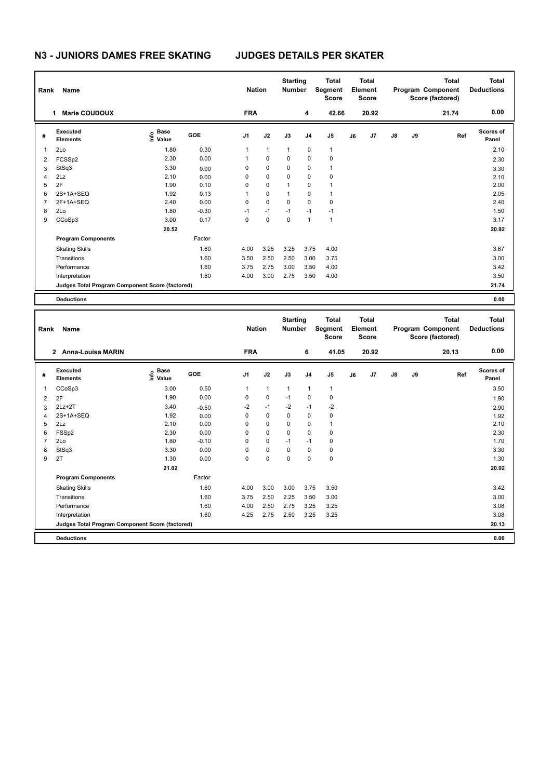## **N3 - JUNIORS DAMES FREE SKATING JUDGES DETAILS PER SKATER**

| Rank                    | Name                                            |                   |            | <b>Nation</b>  |              | <b>Starting</b><br><b>Number</b> |                | <b>Total</b><br>Segment<br><b>Score</b>        |    | <b>Total</b><br>Element<br><b>Score</b> |    | <b>Program Component</b><br>Score (factored) | <b>Total</b> | <b>Total</b><br><b>Deductions</b> |
|-------------------------|-------------------------------------------------|-------------------|------------|----------------|--------------|----------------------------------|----------------|------------------------------------------------|----|-----------------------------------------|----|----------------------------------------------|--------------|-----------------------------------|
|                         | <b>Marie COUDOUX</b><br>1                       |                   |            | <b>FRA</b>     |              |                                  | 4              | 42.66                                          |    | 20.92                                   |    |                                              | 21.74        | 0.00                              |
| #                       | <b>Executed</b><br><b>Elements</b>              | e Base<br>E Value | GOE        | J <sub>1</sub> | J2           | J3                               | J <sub>4</sub> | J <sub>5</sub>                                 | J6 | J7                                      | J8 | J9                                           | Ref          | Scores of<br>Panel                |
| 1                       | 2Lo                                             | 1.80              | 0.30       | 1              | $\mathbf{1}$ | $\mathbf{1}$                     | 0              | $\mathbf{1}$                                   |    |                                         |    |                                              |              | 2.10                              |
| $\overline{2}$          | FCSSp2                                          | 2.30              | 0.00       | 1              | 0            | 0                                | 0              | 0                                              |    |                                         |    |                                              |              | 2.30                              |
| 3                       | StSq3                                           | 3.30              | 0.00       | $\Omega$       | $\Omega$     | 0                                | 0              | $\mathbf{1}$                                   |    |                                         |    |                                              |              | 3.30                              |
| $\overline{\mathbf{4}}$ | 2Lz                                             | 2.10              | 0.00       | 0              | 0            | 0                                | $\Omega$       | 0                                              |    |                                         |    |                                              |              | 2.10                              |
| 5                       | 2F                                              | 1.90              | 0.10       | 0              | 0            | $\mathbf{1}$                     | 0              | $\mathbf{1}$                                   |    |                                         |    |                                              |              | 2.00                              |
| 6                       | 2S+1A+SEQ                                       | 1.92              | 0.13       | 1              | 0            | $\mathbf{1}$                     | $\Omega$       | $\mathbf{1}$                                   |    |                                         |    |                                              |              | 2.05                              |
| $\overline{7}$          | 2F+1A+SEQ                                       | 2.40              | 0.00       | $\mathbf 0$    | $\mathbf 0$  | $\mathbf 0$                      | $\Omega$       | 0                                              |    |                                         |    |                                              |              | 2.40                              |
| 8                       | 2Lo                                             | 1.80              | $-0.30$    | $-1$           | $-1$         | $-1$                             | $-1$           | $-1$                                           |    |                                         |    |                                              |              | 1.50                              |
| 9                       | CCoSp3                                          | 3.00              | 0.17       | $\Omega$       | $\mathbf 0$  | 0                                | $\mathbf{1}$   | $\mathbf{1}$                                   |    |                                         |    |                                              |              | 3.17                              |
|                         |                                                 | 20.52             |            |                |              |                                  |                |                                                |    |                                         |    |                                              |              | 20.92                             |
|                         | <b>Program Components</b>                       |                   | Factor     |                |              |                                  |                |                                                |    |                                         |    |                                              |              |                                   |
|                         | <b>Skating Skills</b>                           |                   | 1.60       | 4.00           | 3.25         | 3.25                             | 3.75           | 4.00                                           |    |                                         |    |                                              |              | 3.67                              |
|                         | Transitions                                     |                   | 1.60       | 3.50           | 2.50         | 2.50                             | 3.00           | 3.75                                           |    |                                         |    |                                              |              | 3.00                              |
|                         | Performance                                     |                   | 1.60       | 3.75           | 2.75         | 3.00                             | 3.50           | 4.00                                           |    |                                         |    |                                              |              | 3.42                              |
|                         | Interpretation                                  |                   | 1.60       | 4.00           | 3.00         | 2.75                             | 3.50           | 4.00                                           |    |                                         |    |                                              |              | 3.50                              |
|                         | Judges Total Program Component Score (factored) |                   |            |                |              |                                  |                |                                                |    |                                         |    |                                              |              | 21.74                             |
|                         | <b>Deductions</b>                               |                   |            |                |              |                                  |                |                                                |    |                                         |    |                                              |              | 0.00                              |
|                         |                                                 |                   |            |                |              |                                  |                |                                                |    |                                         |    |                                              |              |                                   |
| Rank                    | Name                                            |                   |            | <b>Nation</b>  |              | <b>Starting</b><br><b>Number</b> |                | <b>Total</b><br><b>Segment</b><br><b>Score</b> |    | <b>Total</b><br>Element<br><b>Score</b> |    | Program Component<br>Score (factored)        | <b>Total</b> | <b>Total</b><br><b>Deductions</b> |
|                         | 2 Anna-Louisa MARIN                             |                   |            | <b>FRA</b>     |              |                                  | 6              | 41.05                                          |    | 20.92                                   |    |                                              | 20.13        | 0.00                              |
| #                       | <b>Executed</b><br><b>Elements</b>              | e Base<br>E Value | <b>GOE</b> | J1             | J2           | J3                               | J4             | J <sub>5</sub>                                 | J6 | J7                                      | J8 | J9                                           | Ref          | <b>Scores of</b><br>Panel         |

| #              | Lyerated<br><b>Elements</b>                     | $\frac{6}{5}$ Value | GOE     | J1   | J2          | J3           | J4   | J5           | J6 | J7 | J8 | J9 | Ref | งเบเธอ บเ<br>Panel |
|----------------|-------------------------------------------------|---------------------|---------|------|-------------|--------------|------|--------------|----|----|----|----|-----|--------------------|
|                | CCoSp3                                          | 3.00                | 0.50    | 1    | 1           | $\mathbf{1}$ | 1    | 1            |    |    |    |    |     | 3.50               |
| $\overline{2}$ | 2F                                              | 1.90                | 0.00    | 0    | 0           | $-1$         | 0    | 0            |    |    |    |    |     | 1.90               |
| 3              | $2Lz+2T$                                        | 3.40                | $-0.50$ | $-2$ | $-1$        | $-2$         | $-1$ | $-2$         |    |    |    |    |     | 2.90               |
| 4              | 2S+1A+SEQ                                       | 1.92                | 0.00    | 0    | 0           | 0            | 0    | $\mathbf 0$  |    |    |    |    |     | 1.92               |
| 5              | 2Lz                                             | 2.10                | 0.00    | 0    | 0           | 0            | 0    | $\mathbf{1}$ |    |    |    |    |     | 2.10               |
| 6              | FSSp2                                           | 2.30                | 0.00    | 0    | 0           | 0            | 0    | 0            |    |    |    |    |     | 2.30               |
|                | 2Lo                                             | 1.80                | $-0.10$ | 0    | $\mathbf 0$ | $-1$         | $-1$ | 0            |    |    |    |    |     | 1.70               |
| 8              | StSq3                                           | 3.30                | 0.00    | 0    | 0           | 0            | 0    | 0            |    |    |    |    |     | 3.30               |
| 9              | 2T                                              | 1.30                | 0.00    | 0    | 0           | 0            | 0    | 0            |    |    |    |    |     | 1.30               |
|                |                                                 | 21.02               |         |      |             |              |      |              |    |    |    |    |     | 20.92              |
|                | <b>Program Components</b>                       |                     | Factor  |      |             |              |      |              |    |    |    |    |     |                    |
|                | <b>Skating Skills</b>                           |                     | 1.60    | 4.00 | 3.00        | 3.00         | 3.75 | 3.50         |    |    |    |    |     | 3.42               |
|                | Transitions                                     |                     | 1.60    | 3.75 | 2.50        | 2.25         | 3.50 | 3.00         |    |    |    |    |     | 3.00               |
|                | Performance                                     |                     | 1.60    | 4.00 | 2.50        | 2.75         | 3.25 | 3.25         |    |    |    |    |     | 3.08               |
|                | Interpretation                                  |                     | 1.60    | 4.25 | 2.75        | 2.50         | 3.25 | 3.25         |    |    |    |    |     | 3.08               |
|                | Judges Total Program Component Score (factored) |                     |         |      |             |              |      |              |    |    |    |    |     | 20.13              |
|                | <b>Deductions</b>                               |                     |         |      |             |              |      |              |    |    |    |    |     | 0.00               |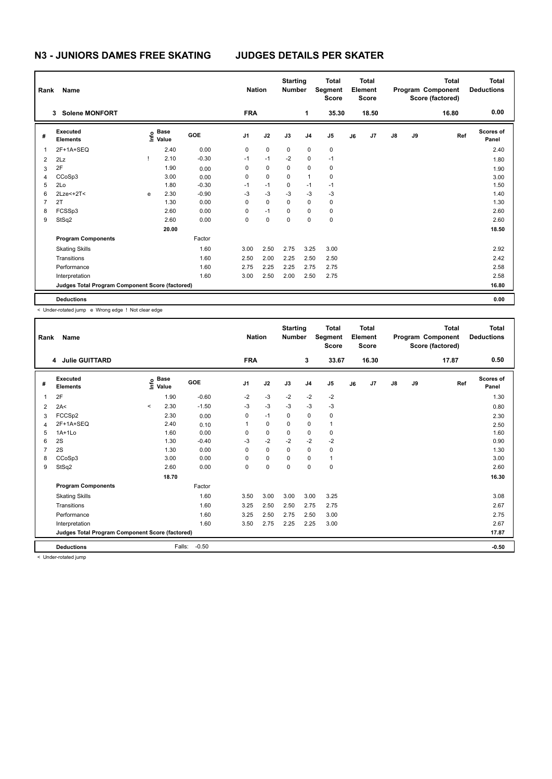## **N3 - JUNIORS DAMES FREE SKATING JUDGES DETAILS PER SKATER**

| Name<br>Rank   |                                                 |   |                                  |            | <b>Nation</b>  |             | <b>Starting</b><br><b>Number</b> |                | <b>Total</b><br>Segment<br><b>Score</b> | <b>Total</b><br>Element<br><b>Score</b> |       | <b>Total</b><br>Program Component<br>Score (factored) |    |       | <b>Total</b><br><b>Deductions</b> |
|----------------|-------------------------------------------------|---|----------------------------------|------------|----------------|-------------|----------------------------------|----------------|-----------------------------------------|-----------------------------------------|-------|-------------------------------------------------------|----|-------|-----------------------------------|
|                | <b>Solene MONFORT</b><br>3                      |   |                                  |            | <b>FRA</b>     |             |                                  | 1              | 35.30                                   |                                         | 18.50 |                                                       |    | 16.80 | 0.00                              |
| #              | Executed<br><b>Elements</b>                     |   | <b>Base</b><br>e Base<br>⊆ Value | <b>GOE</b> | J <sub>1</sub> | J2          | J3                               | J <sub>4</sub> | J5                                      | J6                                      | J7    | $\mathsf{J}8$                                         | J9 | Ref   | <b>Scores of</b><br>Panel         |
| $\mathbf 1$    | 2F+1A+SEQ                                       |   | 2.40                             | 0.00       | 0              | $\mathbf 0$ | 0                                | 0              | 0                                       |                                         |       |                                                       |    |       | 2.40                              |
| $\overline{2}$ | 2Lz                                             |   | 2.10                             | $-0.30$    | $-1$           | $-1$        | $-2$                             | $\mathbf 0$    | $-1$                                    |                                         |       |                                                       |    |       | 1.80                              |
| 3              | 2F                                              |   | 1.90                             | 0.00       | 0              | $\mathbf 0$ | $\mathbf 0$                      | $\mathbf 0$    | $\mathbf 0$                             |                                         |       |                                                       |    |       | 1.90                              |
| 4              | CCoSp3                                          |   | 3.00                             | 0.00       | 0              | 0           | $\mathbf 0$                      | $\mathbf{1}$   | $\mathbf 0$                             |                                         |       |                                                       |    |       | 3.00                              |
| 5              | 2Lo                                             |   | 1.80                             | $-0.30$    | $-1$           | $-1$        | 0                                | -1             | $-1$                                    |                                         |       |                                                       |    |       | 1.50                              |
| 6              | $2Lze<+2T<$                                     | e | 2.30                             | $-0.90$    | $-3$           | $-3$        | $-3$                             | $-3$           | $-3$                                    |                                         |       |                                                       |    |       | 1.40                              |
| 7              | 2T                                              |   | 1.30                             | 0.00       | 0              | $\mathbf 0$ | $\Omega$                         | $\mathbf 0$    | 0                                       |                                         |       |                                                       |    |       | 1.30                              |
| 8              | FCSSp3                                          |   | 2.60                             | 0.00       | 0              | $-1$        | 0                                | 0              | 0                                       |                                         |       |                                                       |    |       | 2.60                              |
| 9              | StSq2                                           |   | 2.60                             | 0.00       | 0              | 0           | 0                                | 0              | $\mathbf 0$                             |                                         |       |                                                       |    |       | 2.60                              |
|                |                                                 |   | 20.00                            |            |                |             |                                  |                |                                         |                                         |       |                                                       |    |       | 18.50                             |
|                | <b>Program Components</b>                       |   |                                  | Factor     |                |             |                                  |                |                                         |                                         |       |                                                       |    |       |                                   |
|                | <b>Skating Skills</b>                           |   |                                  | 1.60       | 3.00           | 2.50        | 2.75                             | 3.25           | 3.00                                    |                                         |       |                                                       |    |       | 2.92                              |
|                | Transitions                                     |   |                                  | 1.60       | 2.50           | 2.00        | 2.25                             | 2.50           | 2.50                                    |                                         |       |                                                       |    |       | 2.42                              |
|                | Performance                                     |   |                                  | 1.60       | 2.75           | 2.25        | 2.25                             | 2.75           | 2.75                                    |                                         |       |                                                       |    |       | 2.58                              |
|                | Interpretation                                  |   |                                  | 1.60       | 3.00           | 2.50        | 2.00                             | 2.50           | 2.75                                    |                                         |       |                                                       |    |       | 2.58                              |
|                | Judges Total Program Component Score (factored) |   |                                  |            |                |             |                                  |                |                                         |                                         |       |                                                       |    |       | 16.80                             |
|                | <b>Deductions</b>                               |   |                                  |            |                |             |                                  |                |                                         |                                         |       |                                                       |    |       | 0.00                              |

< Under-rotated jump e Wrong edge ! Not clear edge

| Rank | Name                                            |         |                                  |         |                | <b>Nation</b> | <b>Starting</b><br><b>Number</b> |                | <b>Total</b><br>Segment<br><b>Score</b> |    | <b>Total</b><br>Element<br><b>Score</b> |    |    | <b>Total</b><br>Program Component<br>Score (factored) | <b>Total</b><br><b>Deductions</b> |
|------|-------------------------------------------------|---------|----------------------------------|---------|----------------|---------------|----------------------------------|----------------|-----------------------------------------|----|-----------------------------------------|----|----|-------------------------------------------------------|-----------------------------------|
|      | 4 Julie GUITTARD                                |         |                                  |         | <b>FRA</b>     |               |                                  | 3              | 33.67                                   |    | 16.30                                   |    |    | 17.87                                                 | 0.50                              |
| #    | Executed<br><b>Elements</b>                     |         | <b>Base</b><br>e Base<br>E Value | GOE     | J <sub>1</sub> | J2            | J3                               | J <sub>4</sub> | J5                                      | J6 | J7                                      | J8 | J9 | Ref                                                   | <b>Scores of</b><br>Panel         |
| 1    | 2F                                              |         | 1.90                             | $-0.60$ | $-2$           | $-3$          | $-2$                             | $-2$           | $-2$                                    |    |                                         |    |    |                                                       | 1.30                              |
| 2    | 2A<                                             | $\prec$ | 2.30                             | $-1.50$ | $-3$           | $-3$          | $-3$                             | $-3$           | $-3$                                    |    |                                         |    |    |                                                       | 0.80                              |
| 3    | FCCSp2                                          |         | 2.30                             | 0.00    | 0              | $-1$          | 0                                | 0              | 0                                       |    |                                         |    |    |                                                       | 2.30                              |
| 4    | 2F+1A+SEQ                                       |         | 2.40                             | 0.10    |                | 0             | 0                                | 0              | 1                                       |    |                                         |    |    |                                                       | 2.50                              |
| 5    | $1A+1L0$                                        |         | 1.60                             | 0.00    | 0              | $\mathbf 0$   | 0                                | 0              | 0                                       |    |                                         |    |    |                                                       | 1.60                              |
| 6    | 2S                                              |         | 1.30                             | $-0.40$ | $-3$           | $-2$          | $-2$                             | $-2$           | $-2$                                    |    |                                         |    |    |                                                       | 0.90                              |
|      | 2S                                              |         | 1.30                             | 0.00    | $\Omega$       | $\mathbf 0$   | 0                                | 0              | 0                                       |    |                                         |    |    |                                                       | 1.30                              |
| 8    | CCoSp3                                          |         | 3.00                             | 0.00    | 0              | 0             | 0                                | 0              | 1                                       |    |                                         |    |    |                                                       | 3.00                              |
| 9    | StSq2                                           |         | 2.60                             | 0.00    | 0              | 0             | 0                                | 0              | 0                                       |    |                                         |    |    |                                                       | 2.60                              |
|      |                                                 |         | 18.70                            |         |                |               |                                  |                |                                         |    |                                         |    |    |                                                       | 16.30                             |
|      | <b>Program Components</b>                       |         |                                  | Factor  |                |               |                                  |                |                                         |    |                                         |    |    |                                                       |                                   |
|      | <b>Skating Skills</b>                           |         |                                  | 1.60    | 3.50           | 3.00          | 3.00                             | 3.00           | 3.25                                    |    |                                         |    |    |                                                       | 3.08                              |
|      | Transitions                                     |         |                                  | 1.60    | 3.25           | 2.50          | 2.50                             | 2.75           | 2.75                                    |    |                                         |    |    |                                                       | 2.67                              |
|      | Performance                                     |         |                                  | 1.60    | 3.25           | 2.50          | 2.75                             | 2.50           | 3.00                                    |    |                                         |    |    |                                                       | 2.75                              |
|      | Interpretation                                  |         |                                  | 1.60    | 3.50           | 2.75          | 2.25                             | 2.25           | 3.00                                    |    |                                         |    |    |                                                       | 2.67                              |
|      | Judges Total Program Component Score (factored) |         |                                  |         |                |               |                                  |                |                                         |    |                                         |    |    |                                                       | 17.87                             |
|      | <b>Deductions</b>                               |         | Falls:                           | $-0.50$ |                |               |                                  |                |                                         |    |                                         |    |    |                                                       | $-0.50$                           |

< Under-rotated jump